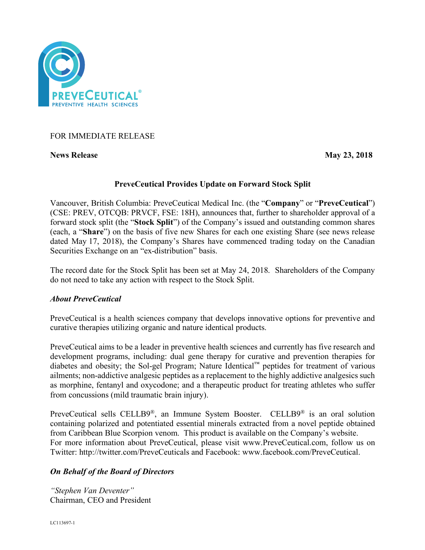

## FOR IMMEDIATE RELEASE

**News Release May 23, 2018**

## **PreveCeutical Provides Update on Forward Stock Split**

Vancouver, British Columbia: PreveCeutical Medical Inc. (the "**Company**" or "**PreveCeutical**") (CSE: PREV, OTCQB: PRVCF, FSE: 18H), announces that, further to shareholder approval of a forward stock split (the "**Stock Split**") of the Company's issued and outstanding common shares (each, a "**Share**") on the basis of five new Shares for each one existing Share (see news release dated May 17, 2018), the Company's Shares have commenced trading today on the Canadian Securities Exchange on an "ex-distribution" basis.

The record date for the Stock Split has been set at May 24, 2018. Shareholders of the Company do not need to take any action with respect to the Stock Split.

## *About PreveCeutical*

PreveCeutical is a health sciences company that develops innovative options for preventive and curative therapies utilizing organic and nature identical products.

PreveCeutical aims to be a leader in preventive health sciences and currently has five research and development programs, including: dual gene therapy for curative and prevention therapies for diabetes and obesity; the Sol-gel Program; Nature Identical™ peptides for treatment of various ailments; non-addictive analgesic peptides as a replacement to the highly addictive analgesics such as morphine, fentanyl and oxycodone; and a therapeutic product for treating athletes who suffer from concussions (mild traumatic brain injury).

PreveCeutical sells CELLB9®, an Immune System Booster. CELLB9® is an oral solution containing polarized and potentiated essential minerals extracted from a novel peptide obtained from Caribbean Blue Scorpion venom. This product is available on the Company's website. For more information about PreveCeutical, please visit www.PreveCeutical.com, follow us on Twitter: http://twitter.com/PreveCeuticals and Facebook: www.facebook.com/PreveCeutical.

# *On Behalf of the Board of Directors*

*"Stephen Van Deventer"* Chairman, CEO and President